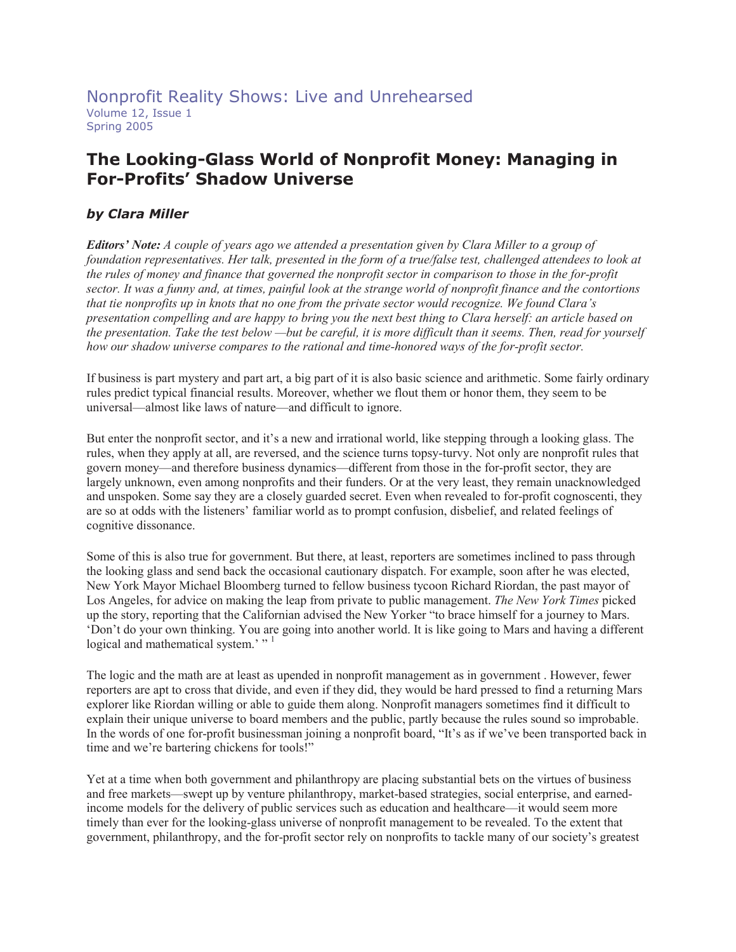# **The Looking-Glass World of Nonprofit Money: Managing in For-Profits' Shadow Universe**

## *by Clara Miller*

*Editors' Note: A couple of years ago we attended a presentation given by Clara Miller to a group of foundation representatives. Her talk, presented in the form of a true/false test, challenged attendees to look at the rules of money and finance that governed the nonprofit sector in comparison to those in the for-profit sector. It was a funny and, at times, painful look at the strange world of nonprofit finance and the contortions that tie nonprofits up in knots that no one from the private sector would recognize. We found Clara's presentation compelling and are happy to bring you the next best thing to Clara herself: an article based on the presentation. Take the test below —but be careful, it is more difficult than it seems. Then, read for yourself how our shadow universe compares to the rational and time-honored ways of the for-profit sector.* 

If business is part mystery and part art, a big part of it is also basic science and arithmetic. Some fairly ordinary rules predict typical financial results. Moreover, whether we flout them or honor them, they seem to be universal—almost like laws of nature—and difficult to ignore.

But enter the nonprofit sector, and it's a new and irrational world, like stepping through a looking glass. The rules, when they apply at all, are reversed, and the science turns topsy-turvy. Not only are nonprofit rules that govern money—and therefore business dynamics—different from those in the for-profit sector, they are largely unknown, even among nonprofits and their funders. Or at the very least, they remain unacknowledged and unspoken. Some say they are a closely guarded secret. Even when revealed to for-profit cognoscenti, they are so at odds with the listeners' familiar world as to prompt confusion, disbelief, and related feelings of cognitive dissonance.

Some of this is also true for government. But there, at least, reporters are sometimes inclined to pass through the looking glass and send back the occasional cautionary dispatch. For example, soon after he was elected, New York Mayor Michael Bloomberg turned to fellow business tycoon Richard Riordan, the past mayor of Los Angeles, for advice on making the leap from private to public management. *The New York Times* picked up the story, reporting that the Californian advised the New Yorker "to brace himself for a journey to Mars. 'Don't do your own thinking. You are going into another world. It is like going to Mars and having a different logical and mathematical system.'"<sup>1</sup>

The logic and the math are at least as upended in nonprofit management as in government . However, fewer reporters are apt to cross that divide, and even if they did, they would be hard pressed to find a returning Mars explorer like Riordan willing or able to guide them along. Nonprofit managers sometimes find it difficult to explain their unique universe to board members and the public, partly because the rules sound so improbable. In the words of one for-profit businessman joining a nonprofit board, "It's as if we've been transported back in time and we're bartering chickens for tools!"

Yet at a time when both government and philanthropy are placing substantial bets on the virtues of business and free markets—swept up by venture philanthropy, market-based strategies, social enterprise, and earnedincome models for the delivery of public services such as education and healthcare—it would seem more timely than ever for the looking-glass universe of nonprofit management to be revealed. To the extent that government, philanthropy, and the for-profit sector rely on nonprofits to tackle many of our society's greatest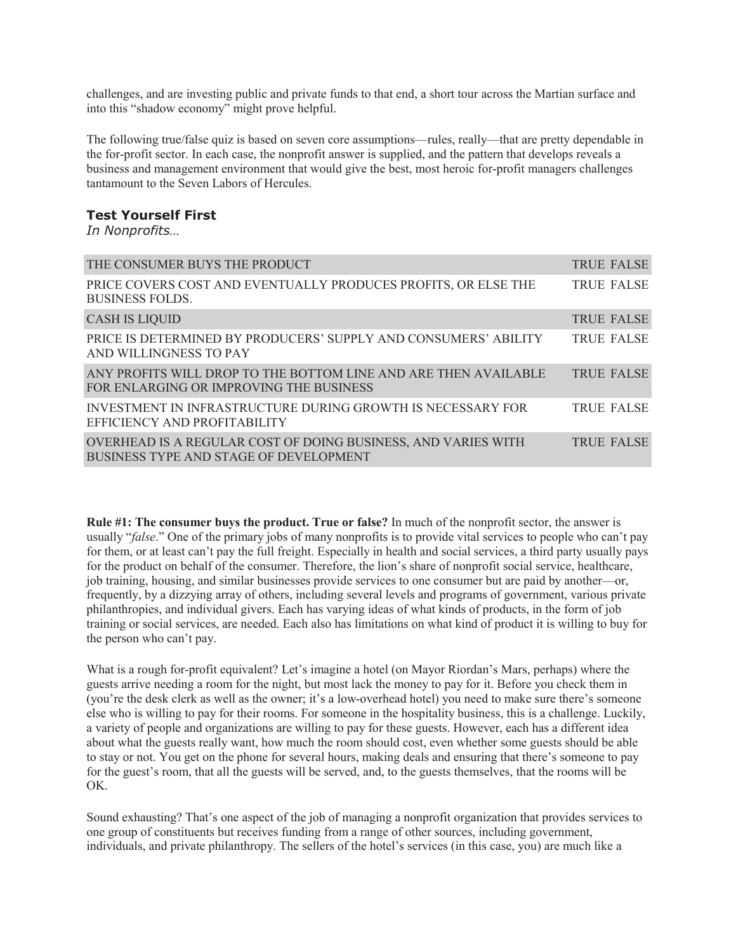challenges, and are investing public and private funds to that end, a short tour across the Martian surface and into this "shadow economy" might prove helpful.

The following true/false quiz is based on seven core assumptions—rules, really—that are pretty dependable in the for-profit sector. In each case, the nonprofit answer is supplied, and the pattern that develops reveals a business and management environment that would give the best, most heroic for-profit managers challenges tantamount to the Seven Labors of Hercules.

#### **Test Yourself First**

*In Nonprofits…* 

| THE CONSUMER BUYS THE PRODUCT                                                                              | <b>TRUE FALSE</b> |
|------------------------------------------------------------------------------------------------------------|-------------------|
| PRICE COVERS COST AND EVENTUALLY PRODUCES PROFITS, OR ELSE THE<br><b>BUSINESS FOLDS.</b>                   | <b>TRUE FALSE</b> |
| <b>CASH IS LIQUID</b>                                                                                      | <b>TRUE FALSE</b> |
| PRICE IS DETERMINED BY PRODUCERS' SUPPLY AND CONSUMERS' ABILITY<br>AND WILLINGNESS TO PAY                  | <b>TRUE FALSE</b> |
| ANY PROFITS WILL DROP TO THE BOTTOM LINE AND ARE THEN AVAILABLE<br>FOR ENLARGING OR IMPROVING THE BUSINESS | <b>TRUE FALSE</b> |
| INVESTMENT IN INFRASTRUCTURE DURING GROWTH IS NECESSARY FOR<br>EFFICIENCY AND PROFITABILITY                | <b>TRUE FALSE</b> |
| OVERHEAD IS A REGULAR COST OF DOING BUSINESS, AND VARIES WITH<br>BUSINESS TYPE AND STAGE OF DEVELOPMENT    | <b>TRUE FALSE</b> |

**Rule #1: The consumer buys the product. True or false?** In much of the nonprofit sector, the answer is usually "*false*." One of the primary jobs of many nonprofits is to provide vital services to people who can't pay for them, or at least can't pay the full freight. Especially in health and social services, a third party usually pays for the product on behalf of the consumer. Therefore, the lion's share of nonprofit social service, healthcare, job training, housing, and similar businesses provide services to one consumer but are paid by another—or, frequently, by a dizzying array of others, including several levels and programs of government, various private philanthropies, and individual givers. Each has varying ideas of what kinds of products, in the form of job training or social services, are needed. Each also has limitations on what kind of product it is willing to buy for the person who can't pay.

What is a rough for-profit equivalent? Let's imagine a hotel (on Mayor Riordan's Mars, perhaps) where the guests arrive needing a room for the night, but most lack the money to pay for it. Before you check them in (you're the desk clerk as well as the owner; it's a low-overhead hotel) you need to make sure there's someone else who is willing to pay for their rooms. For someone in the hospitality business, this is a challenge. Luckily, a variety of people and organizations are willing to pay for these guests. However, each has a different idea about what the guests really want, how much the room should cost, even whether some guests should be able to stay or not. You get on the phone for several hours, making deals and ensuring that there's someone to pay for the guest's room, that all the guests will be served, and, to the guests themselves, that the rooms will be OK.

Sound exhausting? That's one aspect of the job of managing a nonprofit organization that provides services to one group of constituents but receives funding from a range of other sources, including government, individuals, and private philanthropy. The sellers of the hotel's services (in this case, you) are much like a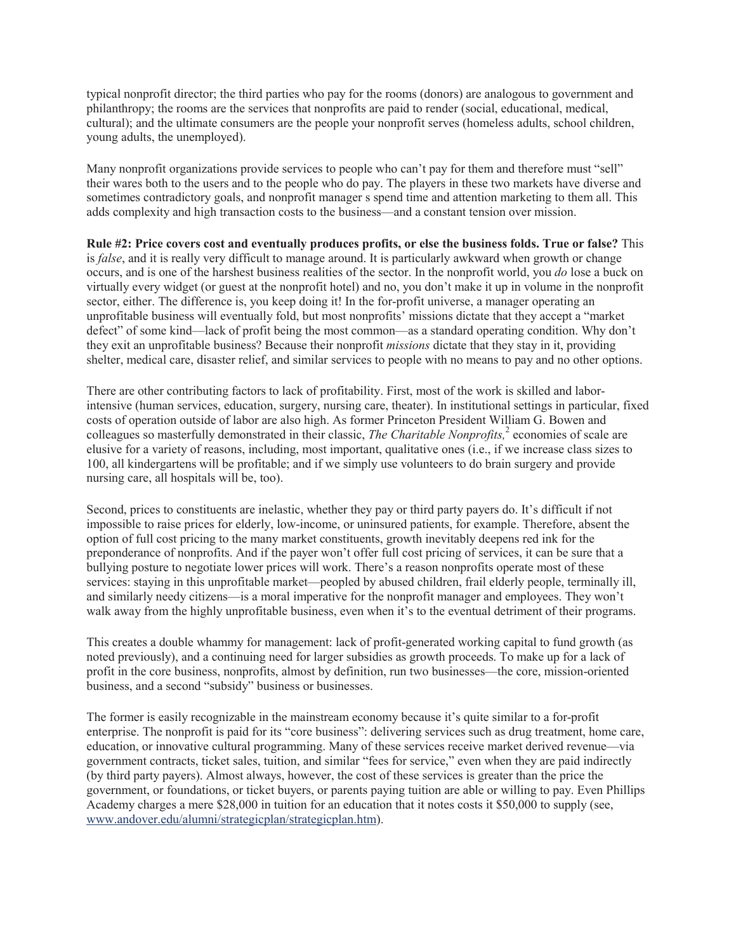typical nonprofit director; the third parties who pay for the rooms (donors) are analogous to government and philanthropy; the rooms are the services that nonprofits are paid to render (social, educational, medical, cultural); and the ultimate consumers are the people your nonprofit serves (homeless adults, school children, young adults, the unemployed).

Many nonprofit organizations provide services to people who can't pay for them and therefore must "sell" their wares both to the users and to the people who do pay. The players in these two markets have diverse and sometimes contradictory goals, and nonprofit manager s spend time and attention marketing to them all. This adds complexity and high transaction costs to the business—and a constant tension over mission.

**Rule #2: Price covers cost and eventually produces profits, or else the business folds. True or false?** This is *false*, and it is really very difficult to manage around. It is particularly awkward when growth or change occurs, and is one of the harshest business realities of the sector. In the nonprofit world, you *do* lose a buck on virtually every widget (or guest at the nonprofit hotel) and no, you don't make it up in volume in the nonprofit sector, either. The difference is, you keep doing it! In the for-profit universe, a manager operating an unprofitable business will eventually fold, but most nonprofits' missions dictate that they accept a "market defect" of some kind—lack of profit being the most common—as a standard operating condition. Why don't they exit an unprofitable business? Because their nonprofit *missions* dictate that they stay in it, providing shelter, medical care, disaster relief, and similar services to people with no means to pay and no other options.

There are other contributing factors to lack of profitability. First, most of the work is skilled and laborintensive (human services, education, surgery, nursing care, theater). In institutional settings in particular, fixed costs of operation outside of labor are also high. As former Princeton President William G. Bowen and colleagues so masterfully demonstrated in their classic, *The Charitable Nonprofits*,<sup>2</sup> economies of scale are elusive for a variety of reasons, including, most important, qualitative ones (i.e., if we increase class sizes to 100, all kindergartens will be profitable; and if we simply use volunteers to do brain surgery and provide nursing care, all hospitals will be, too).

Second, prices to constituents are inelastic, whether they pay or third party payers do. It's difficult if not impossible to raise prices for elderly, low-income, or uninsured patients, for example. Therefore, absent the option of full cost pricing to the many market constituents, growth inevitably deepens red ink for the preponderance of nonprofits. And if the payer won't offer full cost pricing of services, it can be sure that a bullying posture to negotiate lower prices will work. There's a reason nonprofits operate most of these services: staying in this unprofitable market—peopled by abused children, frail elderly people, terminally ill, and similarly needy citizens—is a moral imperative for the nonprofit manager and employees. They won't walk away from the highly unprofitable business, even when it's to the eventual detriment of their programs.

This creates a double whammy for management: lack of profit-generated working capital to fund growth (as noted previously), and a continuing need for larger subsidies as growth proceeds. To make up for a lack of profit in the core business, nonprofits, almost by definition, run two businesses—the core, mission-oriented business, and a second "subsidy" business or businesses.

The former is easily recognizable in the mainstream economy because it's quite similar to a for-profit enterprise. The nonprofit is paid for its "core business": delivering services such as drug treatment, home care, education, or innovative cultural programming. Many of these services receive market derived revenue—via government contracts, ticket sales, tuition, and similar "fees for service," even when they are paid indirectly (by third party payers). Almost always, however, the cost of these services is greater than the price the government, or foundations, or ticket buyers, or parents paying tuition are able or willing to pay. Even Phillips Academy charges a mere \$28,000 in tuition for an education that it notes costs it \$50,000 to supply (see, www.andover.edu/alumni/strategicplan/strategicplan.htm).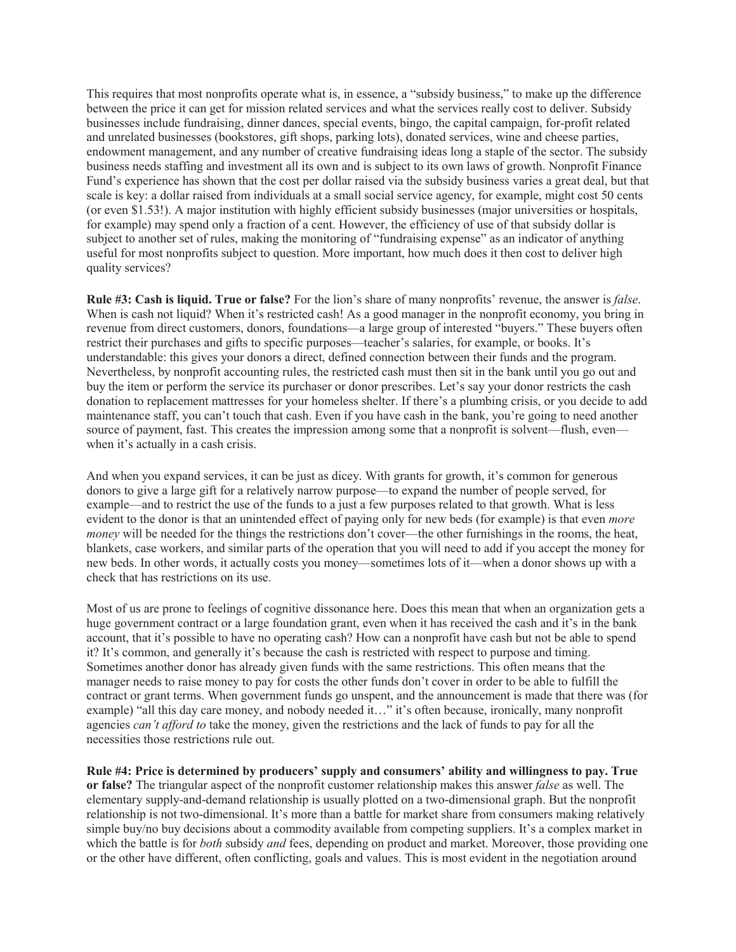This requires that most nonprofits operate what is, in essence, a "subsidy business," to make up the difference between the price it can get for mission related services and what the services really cost to deliver. Subsidy businesses include fundraising, dinner dances, special events, bingo, the capital campaign, for-profit related and unrelated businesses (bookstores, gift shops, parking lots), donated services, wine and cheese parties, endowment management, and any number of creative fundraising ideas long a staple of the sector. The subsidy business needs staffing and investment all its own and is subject to its own laws of growth. Nonprofit Finance Fund's experience has shown that the cost per dollar raised via the subsidy business varies a great deal, but that scale is key: a dollar raised from individuals at a small social service agency, for example, might cost 50 cents (or even \$1.53!). A major institution with highly efficient subsidy businesses (major universities or hospitals, for example) may spend only a fraction of a cent. However, the efficiency of use of that subsidy dollar is subject to another set of rules, making the monitoring of "fundraising expense" as an indicator of anything useful for most nonprofits subject to question. More important, how much does it then cost to deliver high quality services?

**Rule #3: Cash is liquid. True or false?** For the lion's share of many nonprofits' revenue, the answer is *false*. When is cash not liquid? When it's restricted cash! As a good manager in the nonprofit economy, you bring in revenue from direct customers, donors, foundations—a large group of interested "buyers." These buyers often restrict their purchases and gifts to specific purposes—teacher's salaries, for example, or books. It's understandable: this gives your donors a direct, defined connection between their funds and the program. Nevertheless, by nonprofit accounting rules, the restricted cash must then sit in the bank until you go out and buy the item or perform the service its purchaser or donor prescribes. Let's say your donor restricts the cash donation to replacement mattresses for your homeless shelter. If there's a plumbing crisis, or you decide to add maintenance staff, you can't touch that cash. Even if you have cash in the bank, you're going to need another source of payment, fast. This creates the impression among some that a nonprofit is solvent—flush, even when it's actually in a cash crisis.

And when you expand services, it can be just as dicey. With grants for growth, it's common for generous donors to give a large gift for a relatively narrow purpose—to expand the number of people served, for example—and to restrict the use of the funds to a just a few purposes related to that growth. What is less evident to the donor is that an unintended effect of paying only for new beds (for example) is that even *more money* will be needed for the things the restrictions don't cover—the other furnishings in the rooms, the heat, blankets, case workers, and similar parts of the operation that you will need to add if you accept the money for new beds. In other words, it actually costs you money—sometimes lots of it—when a donor shows up with a check that has restrictions on its use.

Most of us are prone to feelings of cognitive dissonance here. Does this mean that when an organization gets a huge government contract or a large foundation grant, even when it has received the cash and it's in the bank account, that it's possible to have no operating cash? How can a nonprofit have cash but not be able to spend it? It's common, and generally it's because the cash is restricted with respect to purpose and timing. Sometimes another donor has already given funds with the same restrictions. This often means that the manager needs to raise money to pay for costs the other funds don't cover in order to be able to fulfill the contract or grant terms. When government funds go unspent, and the announcement is made that there was (for example) "all this day care money, and nobody needed it…" it's often because, ironically, many nonprofit agencies *can't afford to* take the money, given the restrictions and the lack of funds to pay for all the necessities those restrictions rule out.

**Rule #4: Price is determined by producers' supply and consumers' ability and willingness to pay. True or false?** The triangular aspect of the nonprofit customer relationship makes this answer *false* as well. The elementary supply-and-demand relationship is usually plotted on a two-dimensional graph. But the nonprofit relationship is not two-dimensional. It's more than a battle for market share from consumers making relatively simple buy/no buy decisions about a commodity available from competing suppliers. It's a complex market in which the battle is for *both* subsidy *and* fees, depending on product and market. Moreover, those providing one or the other have different, often conflicting, goals and values. This is most evident in the negotiation around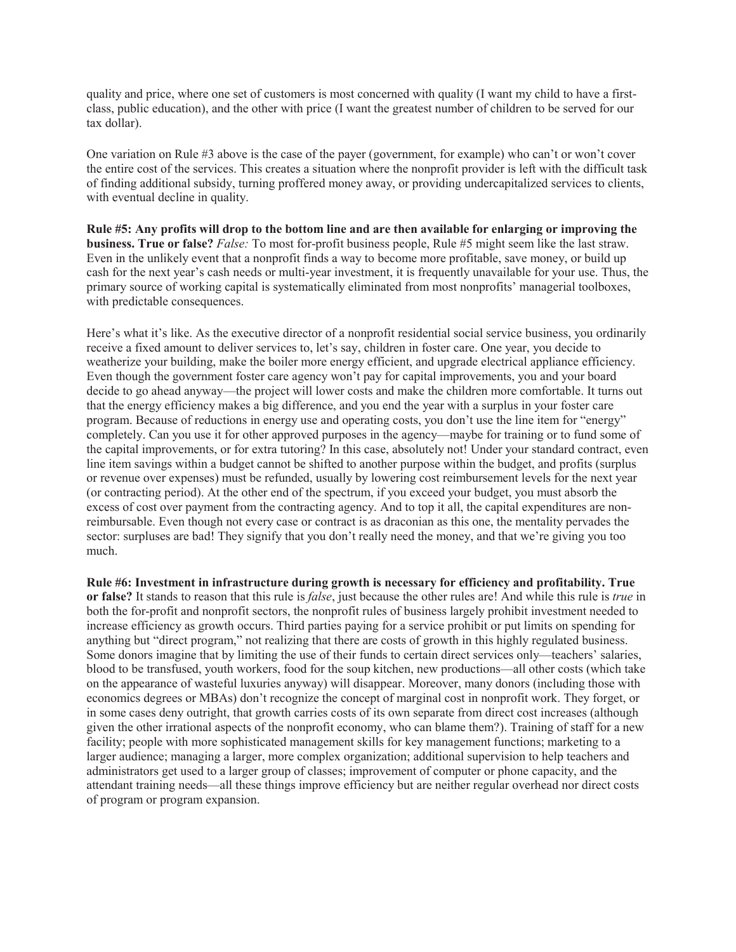quality and price, where one set of customers is most concerned with quality (I want my child to have a firstclass, public education), and the other with price (I want the greatest number of children to be served for our tax dollar).

One variation on Rule #3 above is the case of the payer (government, for example) who can't or won't cover the entire cost of the services. This creates a situation where the nonprofit provider is left with the difficult task of finding additional subsidy, turning proffered money away, or providing undercapitalized services to clients, with eventual decline in quality.

**Rule #5: Any profits will drop to the bottom line and are then available for enlarging or improving the business. True or false?** *False:* To most for-profit business people, Rule #5 might seem like the last straw. Even in the unlikely event that a nonprofit finds a way to become more profitable, save money, or build up cash for the next year's cash needs or multi-year investment, it is frequently unavailable for your use. Thus, the primary source of working capital is systematically eliminated from most nonprofits' managerial toolboxes, with predictable consequences.

Here's what it's like. As the executive director of a nonprofit residential social service business, you ordinarily receive a fixed amount to deliver services to, let's say, children in foster care. One year, you decide to weatherize your building, make the boiler more energy efficient, and upgrade electrical appliance efficiency. Even though the government foster care agency won't pay for capital improvements, you and your board decide to go ahead anyway—the project will lower costs and make the children more comfortable. It turns out that the energy efficiency makes a big difference, and you end the year with a surplus in your foster care program. Because of reductions in energy use and operating costs, you don't use the line item for "energy" completely. Can you use it for other approved purposes in the agency—maybe for training or to fund some of the capital improvements, or for extra tutoring? In this case, absolutely not! Under your standard contract, even line item savings within a budget cannot be shifted to another purpose within the budget, and profits (surplus or revenue over expenses) must be refunded, usually by lowering cost reimbursement levels for the next year (or contracting period). At the other end of the spectrum, if you exceed your budget, you must absorb the excess of cost over payment from the contracting agency. And to top it all, the capital expenditures are nonreimbursable. Even though not every case or contract is as draconian as this one, the mentality pervades the sector: surpluses are bad! They signify that you don't really need the money, and that we're giving you too much.

**Rule #6: Investment in infrastructure during growth is necessary for efficiency and profitability. True or false?** It stands to reason that this rule is *false*, just because the other rules are! And while this rule is *true* in both the for-profit and nonprofit sectors, the nonprofit rules of business largely prohibit investment needed to increase efficiency as growth occurs. Third parties paying for a service prohibit or put limits on spending for anything but "direct program," not realizing that there are costs of growth in this highly regulated business. Some donors imagine that by limiting the use of their funds to certain direct services only—teachers' salaries, blood to be transfused, youth workers, food for the soup kitchen, new productions—all other costs (which take on the appearance of wasteful luxuries anyway) will disappear. Moreover, many donors (including those with economics degrees or MBAs) don't recognize the concept of marginal cost in nonprofit work. They forget, or in some cases deny outright, that growth carries costs of its own separate from direct cost increases (although given the other irrational aspects of the nonprofit economy, who can blame them?). Training of staff for a new facility; people with more sophisticated management skills for key management functions; marketing to a larger audience; managing a larger, more complex organization; additional supervision to help teachers and administrators get used to a larger group of classes; improvement of computer or phone capacity, and the attendant training needs—all these things improve efficiency but are neither regular overhead nor direct costs of program or program expansion.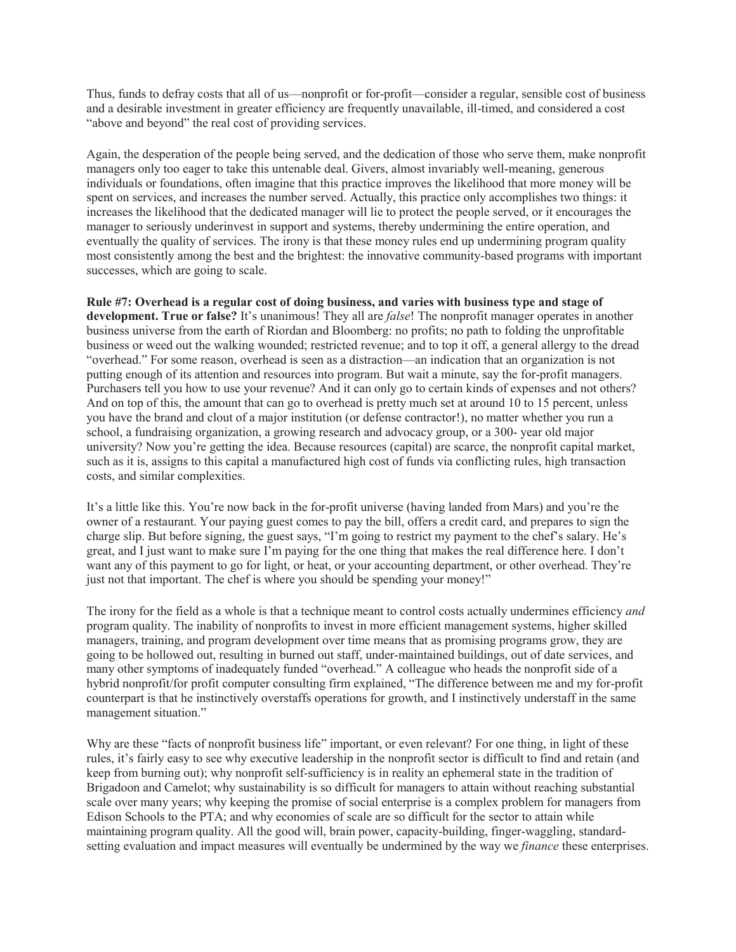Thus, funds to defray costs that all of us—nonprofit or for-profit—consider a regular, sensible cost of business and a desirable investment in greater efficiency are frequently unavailable, ill-timed, and considered a cost "above and beyond" the real cost of providing services.

Again, the desperation of the people being served, and the dedication of those who serve them, make nonprofit managers only too eager to take this untenable deal. Givers, almost invariably well-meaning, generous individuals or foundations, often imagine that this practice improves the likelihood that more money will be spent on services, and increases the number served. Actually, this practice only accomplishes two things: it increases the likelihood that the dedicated manager will lie to protect the people served, or it encourages the manager to seriously underinvest in support and systems, thereby undermining the entire operation, and eventually the quality of services. The irony is that these money rules end up undermining program quality most consistently among the best and the brightest: the innovative community-based programs with important successes, which are going to scale.

**Rule #7: Overhead is a regular cost of doing business, and varies with business type and stage of development. True or false?** It's unanimous! They all are *false*! The nonprofit manager operates in another business universe from the earth of Riordan and Bloomberg: no profits; no path to folding the unprofitable business or weed out the walking wounded; restricted revenue; and to top it off, a general allergy to the dread "overhead." For some reason, overhead is seen as a distraction—an indication that an organization is not putting enough of its attention and resources into program. But wait a minute, say the for-profit managers. Purchasers tell you how to use your revenue? And it can only go to certain kinds of expenses and not others? And on top of this, the amount that can go to overhead is pretty much set at around 10 to 15 percent, unless you have the brand and clout of a major institution (or defense contractor!), no matter whether you run a school, a fundraising organization, a growing research and advocacy group, or a 300- year old major university? Now you're getting the idea. Because resources (capital) are scarce, the nonprofit capital market, such as it is, assigns to this capital a manufactured high cost of funds via conflicting rules, high transaction costs, and similar complexities.

It's a little like this. You're now back in the for-profit universe (having landed from Mars) and you're the owner of a restaurant. Your paying guest comes to pay the bill, offers a credit card, and prepares to sign the charge slip. But before signing, the guest says, "I'm going to restrict my payment to the chef's salary. He's great, and I just want to make sure I'm paying for the one thing that makes the real difference here. I don't want any of this payment to go for light, or heat, or your accounting department, or other overhead. They're just not that important. The chef is where you should be spending your money!"

The irony for the field as a whole is that a technique meant to control costs actually undermines efficiency *and*  program quality. The inability of nonprofits to invest in more efficient management systems, higher skilled managers, training, and program development over time means that as promising programs grow, they are going to be hollowed out, resulting in burned out staff, under-maintained buildings, out of date services, and many other symptoms of inadequately funded "overhead." A colleague who heads the nonprofit side of a hybrid nonprofit/for profit computer consulting firm explained, "The difference between me and my for-profit counterpart is that he instinctively overstaffs operations for growth, and I instinctively understaff in the same management situation."

Why are these "facts of nonprofit business life" important, or even relevant? For one thing, in light of these rules, it's fairly easy to see why executive leadership in the nonprofit sector is difficult to find and retain (and keep from burning out); why nonprofit self-sufficiency is in reality an ephemeral state in the tradition of Brigadoon and Camelot; why sustainability is so difficult for managers to attain without reaching substantial scale over many years; why keeping the promise of social enterprise is a complex problem for managers from Edison Schools to the PTA; and why economies of scale are so difficult for the sector to attain while maintaining program quality. All the good will, brain power, capacity-building, finger-waggling, standardsetting evaluation and impact measures will eventually be undermined by the way we *finance* these enterprises.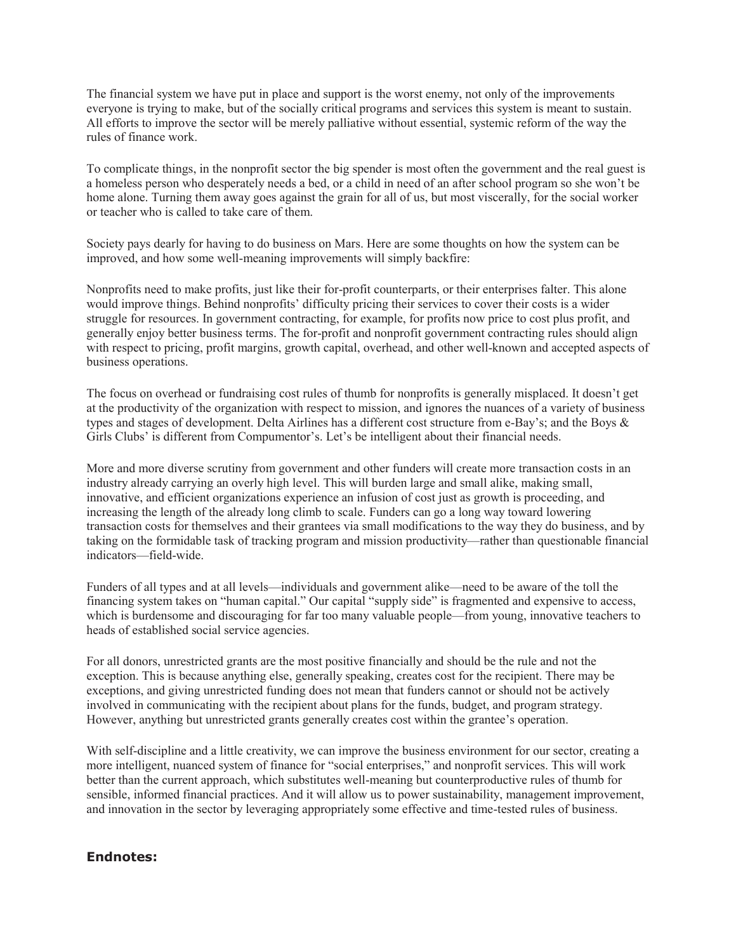The financial system we have put in place and support is the worst enemy, not only of the improvements everyone is trying to make, but of the socially critical programs and services this system is meant to sustain. All efforts to improve the sector will be merely palliative without essential, systemic reform of the way the rules of finance work.

To complicate things, in the nonprofit sector the big spender is most often the government and the real guest is a homeless person who desperately needs a bed, or a child in need of an after school program so she won't be home alone. Turning them away goes against the grain for all of us, but most viscerally, for the social worker or teacher who is called to take care of them.

Society pays dearly for having to do business on Mars. Here are some thoughts on how the system can be improved, and how some well-meaning improvements will simply backfire:

Nonprofits need to make profits, just like their for-profit counterparts, or their enterprises falter. This alone would improve things. Behind nonprofits' difficulty pricing their services to cover their costs is a wider struggle for resources. In government contracting, for example, for profits now price to cost plus profit, and generally enjoy better business terms. The for-profit and nonprofit government contracting rules should align with respect to pricing, profit margins, growth capital, overhead, and other well-known and accepted aspects of business operations.

The focus on overhead or fundraising cost rules of thumb for nonprofits is generally misplaced. It doesn't get at the productivity of the organization with respect to mission, and ignores the nuances of a variety of business types and stages of development. Delta Airlines has a different cost structure from e-Bay's; and the Boys & Girls Clubs' is different from Compumentor's. Let's be intelligent about their financial needs.

More and more diverse scrutiny from government and other funders will create more transaction costs in an industry already carrying an overly high level. This will burden large and small alike, making small, innovative, and efficient organizations experience an infusion of cost just as growth is proceeding, and increasing the length of the already long climb to scale. Funders can go a long way toward lowering transaction costs for themselves and their grantees via small modifications to the way they do business, and by taking on the formidable task of tracking program and mission productivity—rather than questionable financial indicators—field-wide.

Funders of all types and at all levels—individuals and government alike—need to be aware of the toll the financing system takes on "human capital." Our capital "supply side" is fragmented and expensive to access, which is burdensome and discouraging for far too many valuable people—from young, innovative teachers to heads of established social service agencies.

For all donors, unrestricted grants are the most positive financially and should be the rule and not the exception. This is because anything else, generally speaking, creates cost for the recipient. There may be exceptions, and giving unrestricted funding does not mean that funders cannot or should not be actively involved in communicating with the recipient about plans for the funds, budget, and program strategy. However, anything but unrestricted grants generally creates cost within the grantee's operation.

With self-discipline and a little creativity, we can improve the business environment for our sector, creating a more intelligent, nuanced system of finance for "social enterprises," and nonprofit services. This will work better than the current approach, which substitutes well-meaning but counterproductive rules of thumb for sensible, informed financial practices. And it will allow us to power sustainability, management improvement, and innovation in the sector by leveraging appropriately some effective and time-tested rules of business.

#### **Endnotes:**